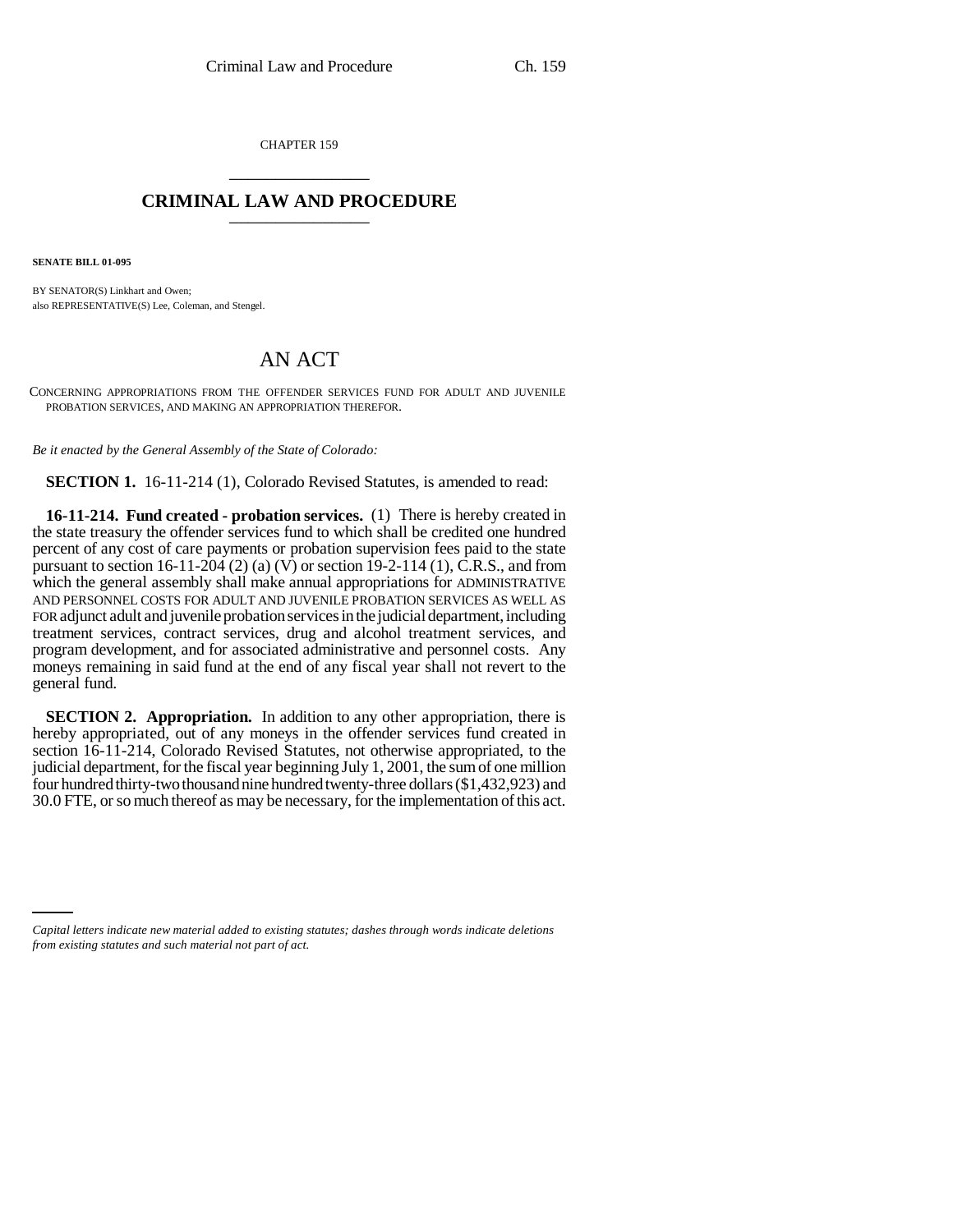CHAPTER 159 \_\_\_\_\_\_\_\_\_\_\_\_\_\_\_

## **CRIMINAL LAW AND PROCEDURE** \_\_\_\_\_\_\_\_\_\_\_\_\_\_\_

**SENATE BILL 01-095**

BY SENATOR(S) Linkhart and Owen; also REPRESENTATIVE(S) Lee, Coleman, and Stengel.

## AN ACT

CONCERNING APPROPRIATIONS FROM THE OFFENDER SERVICES FUND FOR ADULT AND JUVENILE PROBATION SERVICES, AND MAKING AN APPROPRIATION THEREFOR.

*Be it enacted by the General Assembly of the State of Colorado:*

**SECTION 1.** 16-11-214 (1), Colorado Revised Statutes, is amended to read:

**16-11-214. Fund created - probation services.** (1) There is hereby created in the state treasury the offender services fund to which shall be credited one hundred percent of any cost of care payments or probation supervision fees paid to the state pursuant to section 16-11-204 (2) (a) (V) or section 19-2-114 (1), C.R.S., and from which the general assembly shall make annual appropriations for ADMINISTRATIVE AND PERSONNEL COSTS FOR ADULT AND JUVENILE PROBATION SERVICES AS WELL AS FOR adjunct adult and juvenile probation services in the judicial department, including treatment services, contract services, drug and alcohol treatment services, and program development, and for associated administrative and personnel costs. Any moneys remaining in said fund at the end of any fiscal year shall not revert to the general fund.

**SECTION 2. Appropriation.** In addition to any other appropriation, there is hereby appropriated, out of any moneys in the offender services fund created in section 16-11-214, Colorado Revised Statutes, not otherwise appropriated, to the judicial department, for the fiscal year beginning July 1, 2001, the sum of one million four hundred thirty-two thousand nine hundred twenty-three dollars (\$1,432,923) and 30.0 FTE, or so much thereof as may be necessary, for the implementation of this act.

*Capital letters indicate new material added to existing statutes; dashes through words indicate deletions from existing statutes and such material not part of act.*